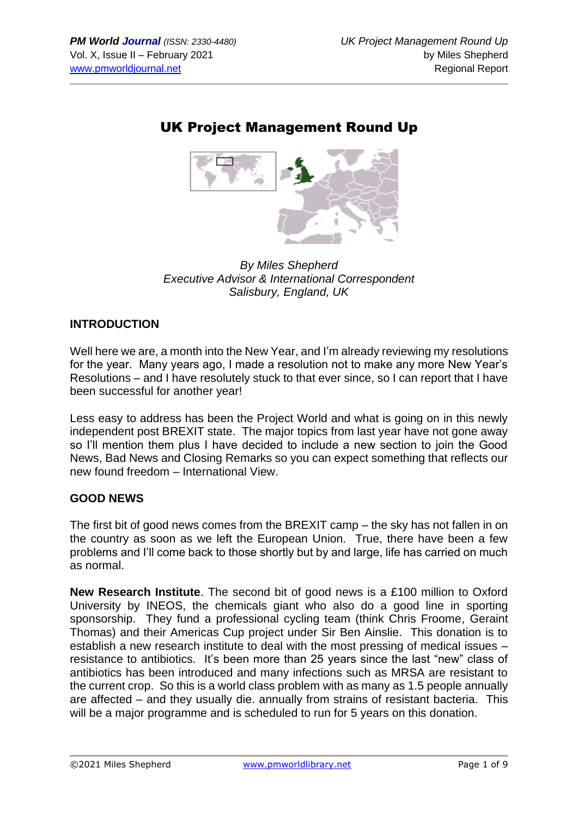## UK Project Management Round Up



*By Miles Shepherd Executive Advisor & International Correspondent Salisbury, England, UK*

#### **INTRODUCTION**

Well here we are, a month into the New Year, and I'm already reviewing my resolutions for the year. Many years ago, I made a resolution not to make any more New Year's Resolutions – and I have resolutely stuck to that ever since, so I can report that I have been successful for another year!

Less easy to address has been the Project World and what is going on in this newly independent post BREXIT state. The major topics from last year have not gone away so I'll mention them plus I have decided to include a new section to join the Good News, Bad News and Closing Remarks so you can expect something that reflects our new found freedom – International View.

#### **GOOD NEWS**

The first bit of good news comes from the BREXIT camp – the sky has not fallen in on the country as soon as we left the European Union. True, there have been a few problems and I'll come back to those shortly but by and large, life has carried on much as normal.

**New Research Institute**. The second bit of good news is a £100 million to Oxford University by INEOS, the chemicals giant who also do a good line in sporting sponsorship. They fund a professional cycling team (think Chris Froome, Geraint Thomas) and their Americas Cup project under Sir Ben Ainslie. This donation is to establish a new research institute to deal with the most pressing of medical issues – resistance to antibiotics. It's been more than 25 years since the last "new" class of antibiotics has been introduced and many infections such as MRSA are resistant to the current crop. So this is a world class problem with as many as 1.5 people annually are affected – and they usually die. annually from strains of resistant bacteria. This will be a major programme and is scheduled to run for 5 years on this donation.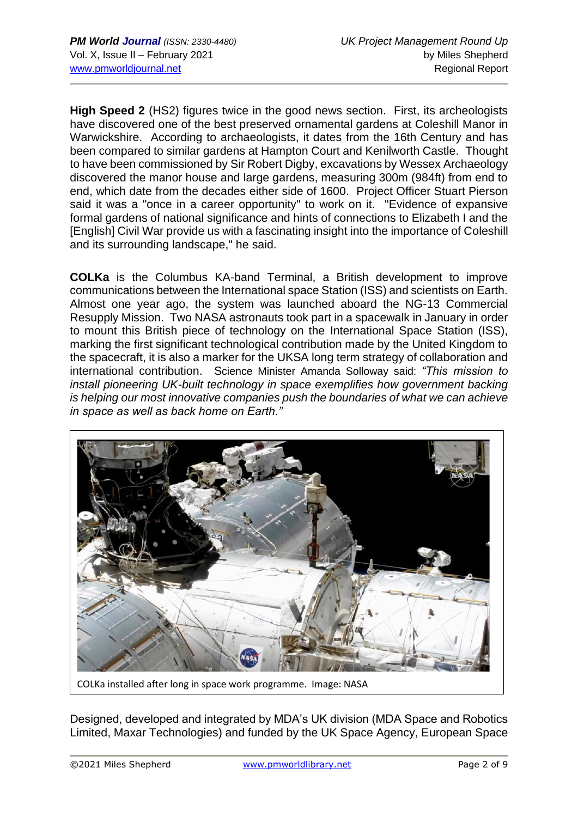**High Speed 2** (HS2) figures twice in the good news section. First, its archeologists have discovered one of the best preserved ornamental gardens at Coleshill Manor in Warwickshire. According to archaeologists, it dates from the 16th Century and has been compared to similar gardens at Hampton Court and Kenilworth Castle. Thought to have been commissioned by Sir Robert Digby, excavations by Wessex Archaeology discovered the manor house and large gardens, measuring 300m (984ft) from end to end, which date from the decades either side of 1600. Project Officer Stuart Pierson said it was a "once in a career opportunity" to work on it. "Evidence of expansive formal gardens of national significance and hints of connections to Elizabeth I and the [English] Civil War provide us with a fascinating insight into the importance of Coleshill and its surrounding landscape," he said.

**COLKa** is the Columbus KA-band Terminal, a British development to improve communications between the International space Station (ISS) and scientists on Earth. Almost one year ago, the system was launched aboard the NG-13 Commercial Resupply Mission. Two NASA astronauts took part in a spacewalk in January in order to mount this British piece of technology on the International Space Station (ISS), marking the first significant technological contribution made by the United Kingdom to the spacecraft, it is also a marker for the UKSA long term strategy of collaboration and international contribution. Science Minister Amanda Solloway said: *"This mission to install pioneering UK-built technology in space exemplifies how government backing is helping our most innovative companies push the boundaries of what we can achieve in space as well as back home on Earth."*



COLKa installed after long in space work programme. Image: NASA

Designed, developed and integrated by MDA's UK division (MDA Space and Robotics Limited, Maxar Technologies) and funded by the UK Space Agency, European Space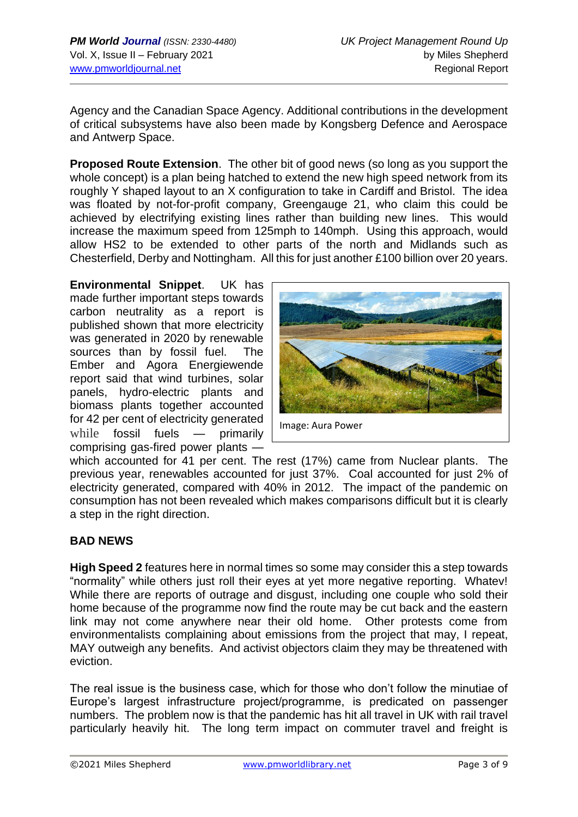Agency and the Canadian Space Agency. Additional contributions in the development of critical subsystems have also been made by Kongsberg Defence and Aerospace and Antwerp Space.

**Proposed Route Extension**. The other bit of good news (so long as you support the whole concept) is a plan being hatched to extend the new high speed network from its roughly Y shaped layout to an X configuration to take in Cardiff and Bristol. The idea was floated by not-for-profit company, Greengauge 21, who claim this could be achieved by electrifying existing lines rather than building new lines. This would increase the maximum speed from 125mph to 140mph. Using this approach, would allow HS2 to be extended to other parts of the north and Midlands such as Chesterfield, Derby and Nottingham. All this for just another £100 billion over 20 years.

**Environmental Snippet**. UK has made further important steps towards carbon neutrality as a report is published shown that more electricity was generated in 2020 by renewable sources than by fossil fuel. The Ember and Agora Energiewende report said that wind turbines, solar panels, hydro-electric plants and biomass plants together accounted for 42 per cent of electricity generated while fossil fuels — primarily comprising gas-fired power plants —



Image: Aura Power

which accounted for 41 per cent. The rest (17%) came from Nuclear plants. The previous year, renewables accounted for just 37%. Coal accounted for just 2% of electricity generated, compared with 40% in 2012. The impact of the pandemic on consumption has not been revealed which makes comparisons difficult but it is clearly a step in the right direction.

#### **BAD NEWS**

**High Speed 2** features here in normal times so some may consider this a step towards "normality" while others just roll their eyes at yet more negative reporting. Whatev! While there are reports of outrage and disgust, including one couple who sold their home because of the programme now find the route may be cut back and the eastern link may not come anywhere near their old home. Other protests come from environmentalists complaining about emissions from the project that may, I repeat, MAY outweigh any benefits. And activist objectors claim they may be threatened with eviction.

The real issue is the business case, which for those who don't follow the minutiae of Europe's largest infrastructure project/programme, is predicated on passenger numbers. The problem now is that the pandemic has hit all travel in UK with rail travel particularly heavily hit. The long term impact on commuter travel and freight is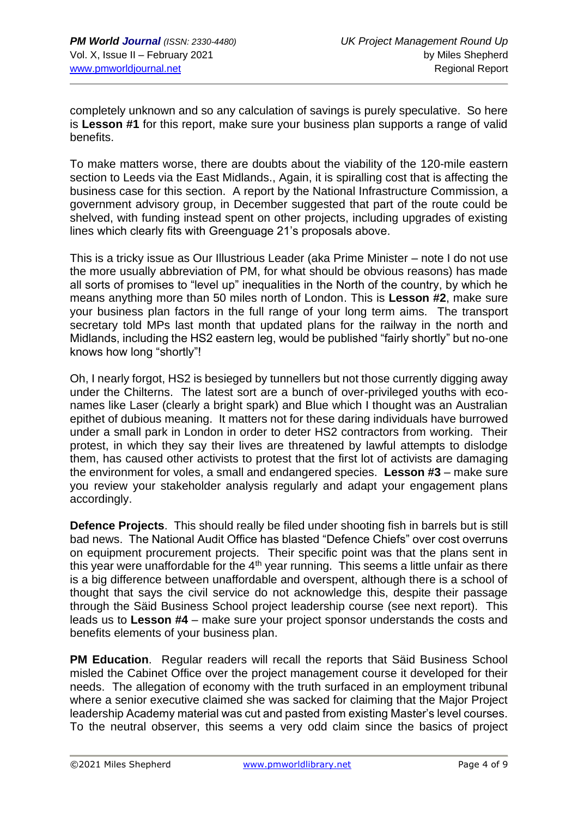completely unknown and so any calculation of savings is purely speculative. So here is **Lesson #1** for this report, make sure your business plan supports a range of valid benefits.

To make matters worse, there are doubts about the viability of the 120-mile eastern section to Leeds via the East Midlands., Again, it is spiralling cost that is affecting the business case for this section. A report by the National Infrastructure Commission, a government advisory group, in December suggested that part of the route could be shelved, with funding instead spent on other projects, including upgrades of existing lines which clearly fits with Greenguage 21's proposals above.

This is a tricky issue as Our Illustrious Leader (aka Prime Minister – note I do not use the more usually abbreviation of PM, for what should be obvious reasons) has made all sorts of promises to "level up" inequalities in the North of the country, by which he means anything more than 50 miles north of London. This is **Lesson #2**, make sure your business plan factors in the full range of your long term aims. The transport secretary told MPs last month that updated plans for the railway in the north and Midlands, including the HS2 eastern leg, would be published "fairly shortly" but no-one knows how long "shortly"!

Oh, I nearly forgot, HS2 is besieged by tunnellers but not those currently digging away under the Chilterns. The latest sort are a bunch of over-privileged youths with econames like Laser (clearly a bright spark) and Blue which I thought was an Australian epithet of dubious meaning. It matters not for these daring individuals have burrowed under a small park in London in order to deter HS2 contractors from working. Their protest, in which they say their lives are threatened by lawful attempts to dislodge them, has caused other activists to protest that the first lot of activists are damaging the environment for voles, a small and endangered species. **Lesson #3** – make sure you review your stakeholder analysis regularly and adapt your engagement plans accordingly.

**Defence Projects**. This should really be filed under shooting fish in barrels but is still bad news. The National Audit Office has blasted "Defence Chiefs" over cost overruns on equipment procurement projects. Their specific point was that the plans sent in this year were unaffordable for the  $4<sup>th</sup>$  year running. This seems a little unfair as there is a big difference between unaffordable and overspent, although there is a school of thought that says the civil service do not acknowledge this, despite their passage through the Säid Business School project leadership course (see next report). This leads us to **Lesson #4** – make sure your project sponsor understands the costs and benefits elements of your business plan.

**PM Education.** Regular readers will recall the reports that Säid Business School misled the Cabinet Office over the project management course it developed for their needs. The allegation of economy with the truth surfaced in an employment tribunal where a senior executive claimed she was sacked for claiming that the Major Project leadership Academy material was cut and pasted from existing Master's level courses. To the neutral observer, this seems a very odd claim since the basics of project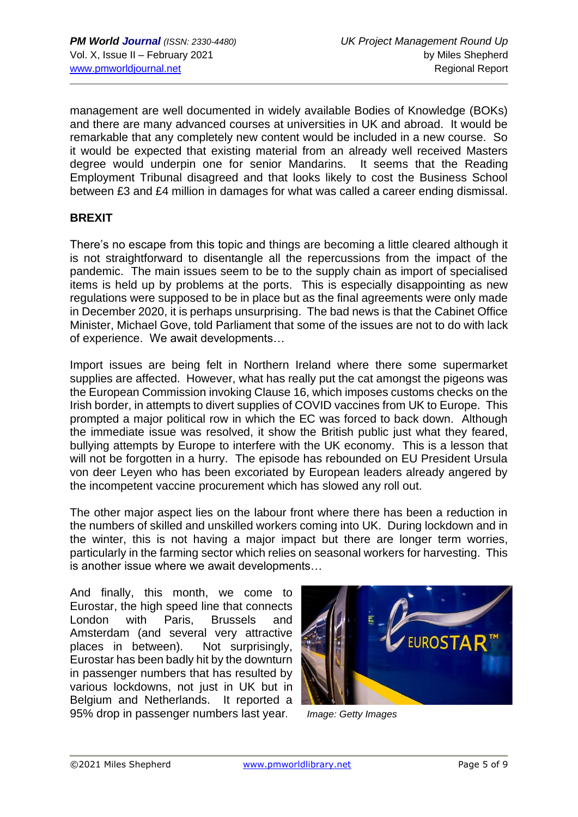management are well documented in widely available Bodies of Knowledge (BOKs) and there are many advanced courses at universities in UK and abroad. It would be remarkable that any completely new content would be included in a new course. So it would be expected that existing material from an already well received Masters degree would underpin one for senior Mandarins. It seems that the Reading Employment Tribunal disagreed and that looks likely to cost the Business School between £3 and £4 million in damages for what was called a career ending dismissal.

#### **BREXIT**

There's no escape from this topic and things are becoming a little cleared although it is not straightforward to disentangle all the repercussions from the impact of the pandemic. The main issues seem to be to the supply chain as import of specialised items is held up by problems at the ports. This is especially disappointing as new regulations were supposed to be in place but as the final agreements were only made in December 2020, it is perhaps unsurprising. The bad news is that the Cabinet Office Minister, Michael Gove, told Parliament that some of the issues are not to do with lack of experience. We await developments…

Import issues are being felt in Northern Ireland where there some supermarket supplies are affected. However, what has really put the cat amongst the pigeons was the European Commission invoking Clause 16, which imposes customs checks on the Irish border, in attempts to divert supplies of COVID vaccines from UK to Europe. This prompted a major political row in which the EC was forced to back down. Although the immediate issue was resolved, it show the British public just what they feared, bullying attempts by Europe to interfere with the UK economy. This is a lesson that will not be forgotten in a hurry. The episode has rebounded on EU President Ursula von deer Leyen who has been excoriated by European leaders already angered by the incompetent vaccine procurement which has slowed any roll out.

The other major aspect lies on the labour front where there has been a reduction in the numbers of skilled and unskilled workers coming into UK. During lockdown and in the winter, this is not having a major impact but there are longer term worries, particularly in the farming sector which relies on seasonal workers for harvesting. This is another issue where we await developments…

And finally, this month, we come to Eurostar, the high speed line that connects London with Paris, Brussels and Amsterdam (and several very attractive places in between). Not surprisingly, Eurostar has been badly hit by the downturn in passenger numbers that has resulted by various lockdowns, not just in UK but in Belgium and Netherlands. It reported a 95% drop in passenger numbers last year*. Image: Getty Images*

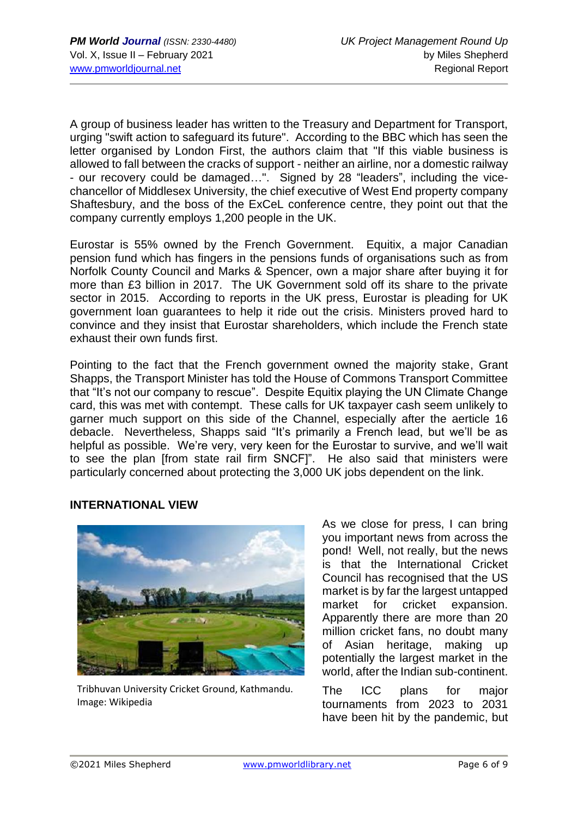A group of business leader has written to the Treasury and Department for Transport, urging "swift action to safeguard its future". According to the BBC which has seen the letter organised by London First, the authors claim that "If this viable business is allowed to fall between the cracks of support - neither an airline, nor a domestic railway - our recovery could be damaged…". Signed by 28 "leaders", including the vicechancellor of Middlesex University, the chief executive of West End property company Shaftesbury, and the boss of the ExCeL conference centre, they point out that the company currently employs 1,200 people in the UK.

Eurostar is 55% owned by the French Government. Equitix, a major Canadian pension fund which has fingers in the pensions funds of organisations such as from Norfolk County Council and Marks & Spencer, own a major share after buying it for more than £3 billion in 2017. The UK Government sold off its share to the private sector in 2015. According to reports in the UK press, Eurostar is pleading for UK government loan guarantees to help it ride out the crisis. Ministers proved hard to convince and they insist that Eurostar shareholders, which include the French state exhaust their own funds first.

Pointing to the fact that the French government owned the majority stake, Grant Shapps, the Transport Minister has told the House of Commons Transport Committee that "It's not our company to rescue". Despite Equitix playing the UN Climate Change card, this was met with contempt. These calls for UK taxpayer cash seem unlikely to garner much support on this side of the Channel, especially after the aerticle 16 debacle. Nevertheless, Shapps said "It's primarily a French lead, but we'll be as helpful as possible. We're very, very keen for the Eurostar to survive, and we'll wait to see the plan [from state rail firm SNCF]". He also said that ministers were particularly concerned about protecting the 3,000 UK jobs dependent on the link.

#### **INTERNATIONAL VIEW**



Tribhuvan University Cricket Ground, Kathmandu. Image: Wikipedia

As we close for press, I can bring you important news from across the pond! Well, not really, but the news is that the International Cricket Council has recognised that the US market is by far the largest untapped market for cricket expansion. Apparently there are more than 20 million cricket fans, no doubt many of Asian heritage, making up potentially the largest market in the world, after the Indian sub-continent.

The ICC plans for major tournaments from 2023 to 2031 have been hit by the pandemic, but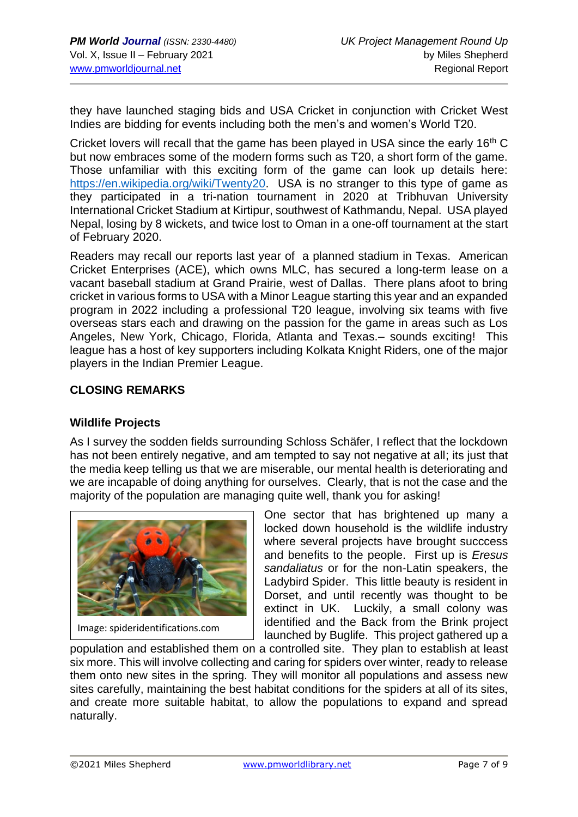they have launched staging bids and USA Cricket in conjunction with Cricket West Indies are bidding for events including both the men's and women's World T20.

Cricket lovers will recall that the game has been played in USA since the early 16<sup>th</sup> C but now embraces some of the modern forms such as T20, a short form of the game. Those unfamiliar with this exciting form of the game can look up details here: [https://en.wikipedia.org/wiki/Twenty20.](https://en.wikipedia.org/wiki/Twenty20) USA is no stranger to this type of game as they participated in a tri-nation tournament in 2020 at Tribhuvan University International Cricket Stadium at Kirtipur, southwest of Kathmandu, Nepal. USA played Nepal, losing by 8 wickets, and twice lost to Oman in a one-off tournament at the start of February 2020.

Readers may recall our reports last year of a planned stadium in Texas. American Cricket Enterprises (ACE), which owns MLC, has secured a long-term lease on a vacant baseball stadium at Grand Prairie, west of Dallas. There plans afoot to bring cricket in various forms to USA with a Minor League starting this year and an expanded program in 2022 including a professional T20 league, involving six teams with five overseas stars each and drawing on the passion for the game in areas such as Los Angeles, New York, Chicago, Florida, Atlanta and Texas.– sounds exciting! This league has a host of key supporters including Kolkata Knight Riders, one of the major players in the Indian Premier League.

#### **CLOSING REMARKS**

#### **Wildlife Projects**

As I survey the sodden fields surrounding Schloss Schäfer, I reflect that the lockdown has not been entirely negative, and am tempted to say not negative at all; its just that the media keep telling us that we are miserable, our mental health is deteriorating and we are incapable of doing anything for ourselves. Clearly, that is not the case and the majority of the population are managing quite well, thank you for asking!



Image: spideridentifications.com

One sector that has brightened up many a locked down household is the wildlife industry where several projects have brought succcess and benefits to the people. First up is *Eresus sandaliatus* or for the non-Latin speakers, the Ladybird Spider. This little beauty is resident in Dorset, and until recently was thought to be extinct in UK. Luckily, a small colony was identified and the Back from the Brink project launched by Buglife. This project gathered up a

population and established them on a controlled site. They plan to establish at least six more. This will involve collecting and caring for spiders over winter, ready to release them onto new sites in the spring. They will monitor all populations and assess new sites carefully, maintaining the best habitat conditions for the spiders at all of its sites, and create more suitable habitat, to allow the populations to expand and spread naturally.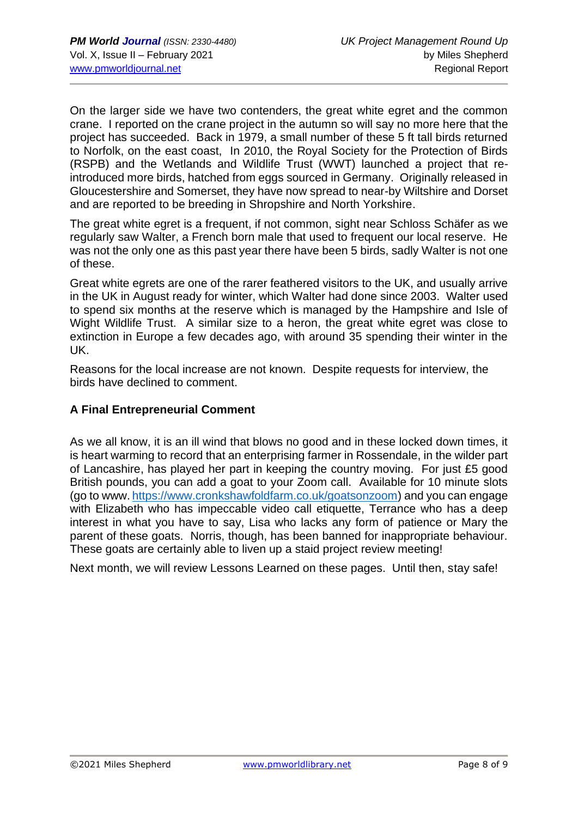On the larger side we have two contenders, the great white egret and the common crane. I reported on the crane project in the autumn so will say no more here that the project has succeeded. Back in 1979, a small number of these 5 ft tall birds returned to Norfolk, on the east coast, In 2010, the Royal Society for the Protection of Birds (RSPB) and the Wetlands and Wildlife Trust (WWT) launched a project that reintroduced more birds, hatched from eggs sourced in Germany. Originally released in Gloucestershire and Somerset, they have now spread to near-by Wiltshire and Dorset and are reported to be breeding in Shropshire and North Yorkshire.

The great white egret is a frequent, if not common, sight near Schloss Schäfer as we regularly saw Walter, a French born male that used to frequent our local reserve. He was not the only one as this past year there have been 5 birds, sadly Walter is not one of these.

Great white egrets are one of the rarer feathered visitors to the UK, and usually arrive in the UK in August ready for winter, which Walter had done since 2003. Walter used to spend six months at the reserve which is managed by the Hampshire and Isle of Wight Wildlife Trust. A similar size to a heron, the great white egret was close to extinction in Europe a few decades ago, with around 35 spending their winter in the UK.

Reasons for the local increase are not known. Despite requests for interview, the birds have declined to comment.

#### **A Final Entrepreneurial Comment**

As we all know, it is an ill wind that blows no good and in these locked down times, it is heart warming to record that an enterprising farmer in Rossendale, in the wilder part of Lancashire, has played her part in keeping the country moving. For just £5 good British pounds, you can add a goat to your Zoom call. Available for 10 minute slots (ao to www. [https://www.cronkshawfoldfarm.co.uk/goatsonzoom\)](https://www.cronkshawfoldfarm.co.uk/goatsonzoom) and you can engage with Elizabeth who has impeccable video call etiquette, Terrance who has a deep interest in what you have to say, Lisa who lacks any form of patience or Mary the parent of these goats. Norris, though, has been banned for inappropriate behaviour. These goats are certainly able to liven up a staid project review meeting!

Next month, we will review Lessons Learned on these pages. Until then, stay safe!